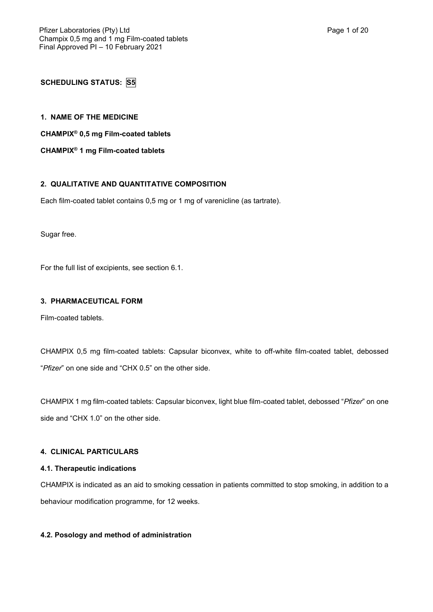**SCHEDULING STATUS: S5**

**1. NAME OF THE MEDICINE**

**CHAMPIX® 0,5 mg Film-coated tablets**

**CHAMPIX® 1 mg Film-coated tablets**

# **2. QUALITATIVE AND QUANTITATIVE COMPOSITION**

Each film-coated tablet contains 0,5 mg or 1 mg of varenicline (as tartrate).

Sugar free.

For the full list of excipients, see section 6.1.

## **3. PHARMACEUTICAL FORM**

Film-coated tablets.

CHAMPIX 0,5 mg film-coated tablets: Capsular biconvex, white to off-white film-coated tablet, debossed "*Pfizer*" on one side and "CHX 0.5" on the other side.

CHAMPIX 1 mg film-coated tablets: Capsular biconvex, light blue film-coated tablet, debossed "*Pfizer*" on one side and "CHX 1.0" on the other side.

## **4. CLINICAL PARTICULARS**

## **4.1. Therapeutic indications**

CHAMPIX is indicated as an aid to smoking cessation in patients committed to stop smoking, in addition to a behaviour modification programme, for 12 weeks.

## **4.2. Posology and method of administration**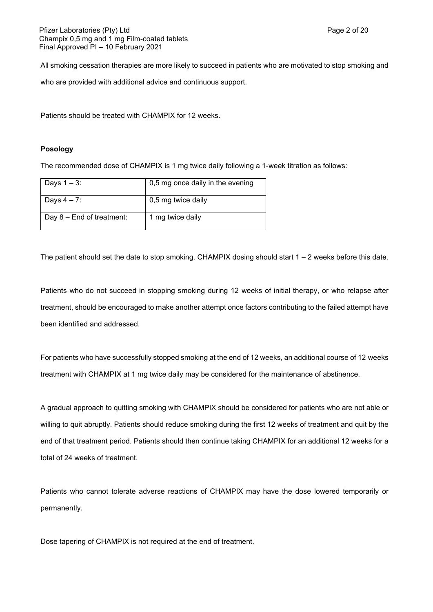All smoking cessation therapies are more likely to succeed in patients who are motivated to stop smoking and

who are provided with additional advice and continuous support.

Patients should be treated with CHAMPIX for 12 weeks.

## **Posology**

The recommended dose of CHAMPIX is 1 mg twice daily following a 1-week titration as follows:

| Days $1 - 3$ :              | 0,5 mg once daily in the evening |
|-----------------------------|----------------------------------|
| Days $4 - 7$ :              | 0,5 mg twice daily               |
| Day $8$ – End of treatment: | 1 mg twice daily                 |

The patient should set the date to stop smoking. CHAMPIX dosing should start  $1 - 2$  weeks before this date.

Patients who do not succeed in stopping smoking during 12 weeks of initial therapy, or who relapse after treatment, should be encouraged to make another attempt once factors contributing to the failed attempt have been identified and addressed.

For patients who have successfully stopped smoking at the end of 12 weeks, an additional course of 12 weeks treatment with CHAMPIX at 1 mg twice daily may be considered for the maintenance of abstinence.

A gradual approach to quitting smoking with CHAMPIX should be considered for patients who are not able or willing to quit abruptly. Patients should reduce smoking during the first 12 weeks of treatment and quit by the end of that treatment period. Patients should then continue taking CHAMPIX for an additional 12 weeks for a total of 24 weeks of treatment.

Patients who cannot tolerate adverse reactions of CHAMPIX may have the dose lowered temporarily or permanently.

Dose tapering of CHAMPIX is not required at the end of treatment.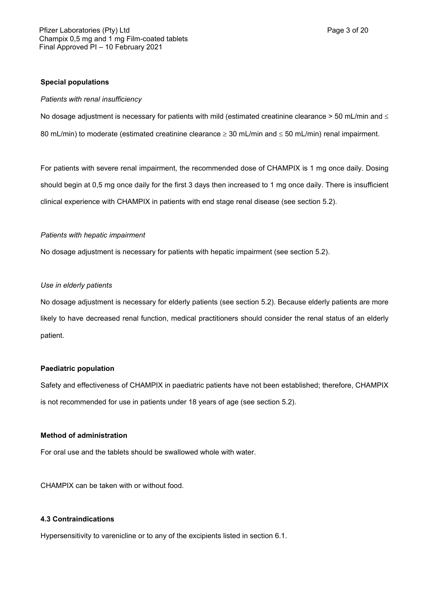## **Special populations**

#### *Patients with renal insufficiency*

No dosage adjustment is necessary for patients with mild (estimated creatinine clearance  $>$  50 mL/min and  $\leq$ 80 mL/min) to moderate (estimated creatinine clearance  $\geq$  30 mL/min and  $\leq$  50 mL/min) renal impairment.

For patients with severe renal impairment, the recommended dose of CHAMPIX is 1 mg once daily. Dosing should begin at 0,5 mg once daily for the first 3 days then increased to 1 mg once daily. There is insufficient clinical experience with CHAMPIX in patients with end stage renal disease (see section 5.2).

## *Patients with hepatic impairment*

No dosage adjustment is necessary for patients with hepatic impairment (see section 5.2).

## *Use in elderly patients*

No dosage adjustment is necessary for elderly patients (see section 5.2). Because elderly patients are more likely to have decreased renal function, medical practitioners should consider the renal status of an elderly patient.

## **Paediatric population**

Safety and effectiveness of CHAMPIX in paediatric patients have not been established; therefore, CHAMPIX is not recommended for use in patients under 18 years of age (see section 5.2).

# **Method of administration**

For oral use and the tablets should be swallowed whole with water.

CHAMPIX can be taken with or without food.

### **4.3 Contraindications**

Hypersensitivity to varenicline or to any of the excipients listed in section 6.1.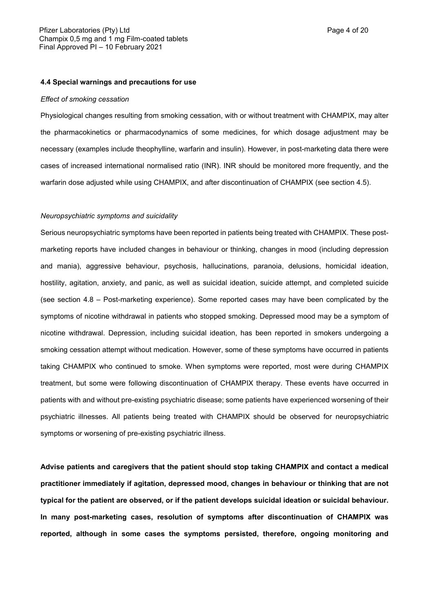#### *Effect of smoking cessation*

Physiological changes resulting from smoking cessation, with or without treatment with CHAMPIX, may alter the pharmacokinetics or pharmacodynamics of some medicines, for which dosage adjustment may be necessary (examples include theophylline, warfarin and insulin). However, in post-marketing data there were cases of increased international normalised ratio (INR). INR should be monitored more frequently, and the warfarin dose adjusted while using CHAMPIX, and after discontinuation of CHAMPIX (see section 4.5).

#### *Neuropsychiatric symptoms and suicidality*

Serious neuropsychiatric symptoms have been reported in patients being treated with CHAMPIX. These postmarketing reports have included changes in behaviour or thinking, changes in mood (including depression and mania), aggressive behaviour, psychosis, hallucinations, paranoia, delusions, homicidal ideation, hostility, agitation, anxiety, and panic, as well as suicidal ideation, suicide attempt, and completed suicide (see section 4.8 – Post-marketing experience). Some reported cases may have been complicated by the symptoms of nicotine withdrawal in patients who stopped smoking. Depressed mood may be a symptom of nicotine withdrawal. Depression, including suicidal ideation, has been reported in smokers undergoing a smoking cessation attempt without medication. However, some of these symptoms have occurred in patients taking CHAMPIX who continued to smoke. When symptoms were reported, most were during CHAMPIX treatment, but some were following discontinuation of CHAMPIX therapy. These events have occurred in patients with and without pre-existing psychiatric disease; some patients have experienced worsening of their psychiatric illnesses. All patients being treated with CHAMPIX should be observed for neuropsychiatric symptoms or worsening of pre-existing psychiatric illness.

**Advise patients and caregivers that the patient should stop taking CHAMPIX and contact a medical practitioner immediately if agitation, depressed mood, changes in behaviour or thinking that are not typical for the patient are observed, or if the patient develops suicidal ideation or suicidal behaviour. In many post-marketing cases, resolution of symptoms after discontinuation of CHAMPIX was reported, although in some cases the symptoms persisted, therefore, ongoing monitoring and**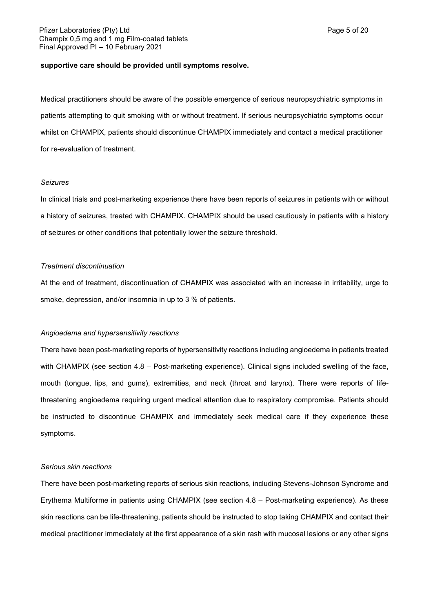#### **supportive care should be provided until symptoms resolve.**

Medical practitioners should be aware of the possible emergence of serious neuropsychiatric symptoms in patients attempting to quit smoking with or without treatment. If serious neuropsychiatric symptoms occur whilst on CHAMPIX, patients should discontinue CHAMPIX immediately and contact a medical practitioner for re-evaluation of treatment.

#### *Seizures*

In clinical trials and post-marketing experience there have been reports of seizures in patients with or without a history of seizures, treated with CHAMPIX. CHAMPIX should be used cautiously in patients with a history of seizures or other conditions that potentially lower the seizure threshold.

## *Treatment discontinuation*

At the end of treatment, discontinuation of CHAMPIX was associated with an increase in irritability, urge to smoke, depression, and/or insomnia in up to 3 % of patients.

### *Angioedema and hypersensitivity reactions*

There have been post-marketing reports of hypersensitivity reactions including angioedema in patients treated with CHAMPIX (see section 4.8 – Post-marketing experience). Clinical signs included swelling of the face, mouth (tongue, lips, and gums), extremities, and neck (throat and larynx). There were reports of lifethreatening angioedema requiring urgent medical attention due to respiratory compromise. Patients should be instructed to discontinue CHAMPIX and immediately seek medical care if they experience these symptoms.

#### *Serious skin reactions*

There have been post-marketing reports of serious skin reactions, including Stevens-Johnson Syndrome and Erythema Multiforme in patients using CHAMPIX (see section 4.8 – Post-marketing experience). As these skin reactions can be life-threatening, patients should be instructed to stop taking CHAMPIX and contact their medical practitioner immediately at the first appearance of a skin rash with mucosal lesions or any other signs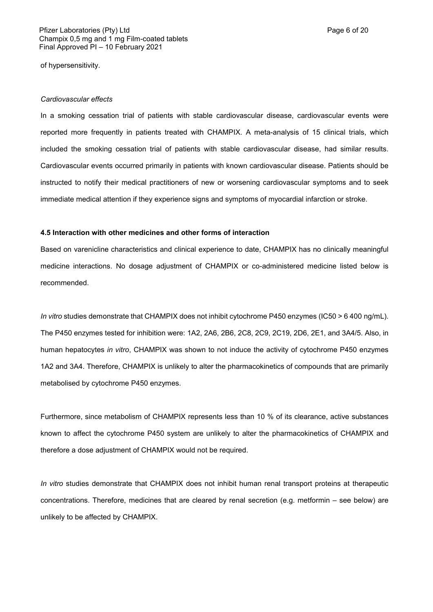of hypersensitivity.

#### *Cardiovascular effects*

In a smoking cessation trial of patients with stable cardiovascular disease, cardiovascular events were reported more frequently in patients treated with CHAMPIX. A meta-analysis of 15 clinical trials, which included the smoking cessation trial of patients with stable cardiovascular disease, had similar results. Cardiovascular events occurred primarily in patients with known cardiovascular disease. Patients should be instructed to notify their medical practitioners of new or worsening cardiovascular symptoms and to seek immediate medical attention if they experience signs and symptoms of myocardial infarction or stroke.

#### **4.5 Interaction with other medicines and other forms of interaction**

Based on varenicline characteristics and clinical experience to date, CHAMPIX has no clinically meaningful medicine interactions. No dosage adjustment of CHAMPIX or co-administered medicine listed below is recommended.

*In vitro* studies demonstrate that CHAMPIX does not inhibit cytochrome P450 enzymes (IC50 > 6 400 ng/mL). The P450 enzymes tested for inhibition were: 1A2, 2A6, 2B6, 2C8, 2C9, 2C19, 2D6, 2E1, and 3A4/5. Also, in human hepatocytes *in vitro*, CHAMPIX was shown to not induce the activity of cytochrome P450 enzymes 1A2 and 3A4. Therefore, CHAMPIX is unlikely to alter the pharmacokinetics of compounds that are primarily metabolised by cytochrome P450 enzymes.

Furthermore, since metabolism of CHAMPIX represents less than 10 % of its clearance, active substances known to affect the cytochrome P450 system are unlikely to alter the pharmacokinetics of CHAMPIX and therefore a dose adjustment of CHAMPIX would not be required.

*In vitro* studies demonstrate that CHAMPIX does not inhibit human renal transport proteins at therapeutic concentrations. Therefore, medicines that are cleared by renal secretion (e.g. metformin – see below) are unlikely to be affected by CHAMPIX.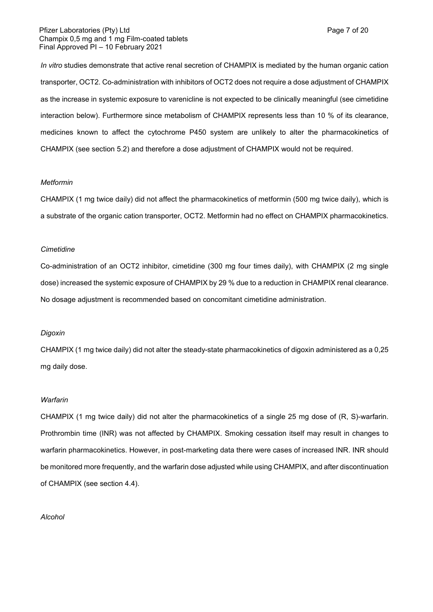## Pfizer Laboratories (Pty) Ltd **Page 7 of 20** Page 7 of 20 Champix 0,5 mg and 1 mg Film-coated tablets Final Approved PI – 10 February 2021

*In vitro* studies demonstrate that active renal secretion of CHAMPIX is mediated by the human organic cation transporter, OCT2. Co-administration with inhibitors of OCT2 does not require a dose adjustment of CHAMPIX as the increase in systemic exposure to varenicline is not expected to be clinically meaningful (see cimetidine interaction below). Furthermore since metabolism of CHAMPIX represents less than 10 % of its clearance, medicines known to affect the cytochrome P450 system are unlikely to alter the pharmacokinetics of CHAMPIX (see section 5.2) and therefore a dose adjustment of CHAMPIX would not be required.

## *Metformin*

CHAMPIX (1 mg twice daily) did not affect the pharmacokinetics of metformin (500 mg twice daily), which is a substrate of the organic cation transporter, OCT2. Metformin had no effect on CHAMPIX pharmacokinetics.

#### *Cimetidine*

Co-administration of an OCT2 inhibitor, cimetidine (300 mg four times daily), with CHAMPIX (2 mg single dose) increased the systemic exposure of CHAMPIX by 29 % due to a reduction in CHAMPIX renal clearance. No dosage adjustment is recommended based on concomitant cimetidine administration.

## *Digoxin*

CHAMPIX (1 mg twice daily) did not alter the steady-state pharmacokinetics of digoxin administered as a 0,25 mg daily dose.

#### *Warfarin*

CHAMPIX (1 mg twice daily) did not alter the pharmacokinetics of a single 25 mg dose of (R, S)-warfarin. Prothrombin time (INR) was not affected by CHAMPIX. Smoking cessation itself may result in changes to warfarin pharmacokinetics. However, in post-marketing data there were cases of increased INR. INR should be monitored more frequently, and the warfarin dose adjusted while using CHAMPIX, and after discontinuation of CHAMPIX (see section 4.4).

#### *Alcohol*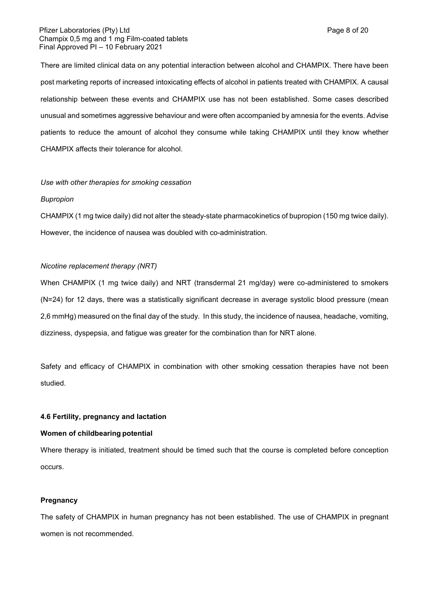## Pfizer Laboratories (Pty) Ltd **Page 8 of 20** Page 8 of 20 Champix 0,5 mg and 1 mg Film-coated tablets Final Approved PI – 10 February 2021

There are limited clinical data on any potential interaction between alcohol and CHAMPIX. There have been post marketing reports of increased intoxicating effects of alcohol in patients treated with CHAMPIX. A causal relationship between these events and CHAMPIX use has not been established. Some cases described unusual and sometimes aggressive behaviour and were often accompanied by amnesia for the events. Advise patients to reduce the amount of alcohol they consume while taking CHAMPIX until they know whether CHAMPIX affects their tolerance for alcohol.

#### *Use with other therapies for smoking cessation*

#### *Bupropion*

CHAMPIX (1 mg twice daily) did not alter the steady-state pharmacokinetics of bupropion (150 mg twice daily). However, the incidence of nausea was doubled with co-administration.

## *Nicotine replacement therapy (NRT)*

When CHAMPIX (1 mg twice daily) and NRT (transdermal 21 mg/day) were co-administered to smokers (N=24) for 12 days, there was a statistically significant decrease in average systolic blood pressure (mean 2,6 mmHg) measured on the final day of the study. In this study, the incidence of nausea, headache, vomiting, dizziness, dyspepsia, and fatigue was greater for the combination than for NRT alone.

Safety and efficacy of CHAMPIX in combination with other smoking cessation therapies have not been studied.

## **4.6 Fertility, pregnancy and lactation**

#### **Women of childbearing potential**

Where therapy is initiated, treatment should be timed such that the course is completed before conception occurs.

#### **Pregnancy**

The safety of CHAMPIX in human pregnancy has not been established. The use of CHAMPIX in pregnant women is not recommended.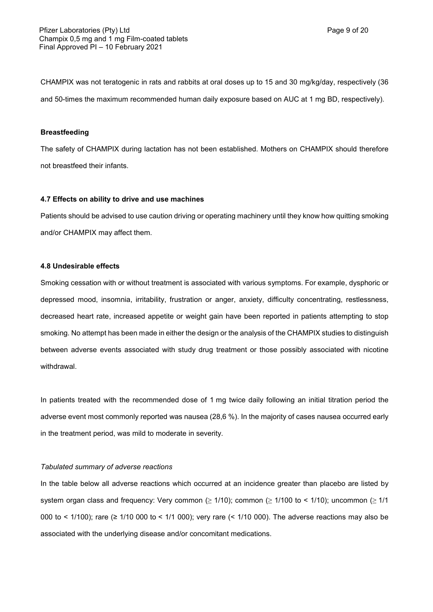CHAMPIX was not teratogenic in rats and rabbits at oral doses up to 15 and 30 mg/kg/day, respectively (36 and 50-times the maximum recommended human daily exposure based on AUC at 1 mg BD, respectively).

## **Breastfeeding**

The safety of CHAMPIX during lactation has not been established. Mothers on CHAMPIX should therefore not breastfeed their infants.

#### **4.7 Effects on ability to drive and use machines**

Patients should be advised to use caution driving or operating machinery until they know how quitting smoking and/or CHAMPIX may affect them.

## **4.8 Undesirable effects**

Smoking cessation with or without treatment is associated with various symptoms. For example, dysphoric or depressed mood, insomnia, irritability, frustration or anger, anxiety, difficulty concentrating, restlessness, decreased heart rate, increased appetite or weight gain have been reported in patients attempting to stop smoking. No attempt has been made in either the design or the analysis of the CHAMPIX studies to distinguish between adverse events associated with study drug treatment or those possibly associated with nicotine withdrawal.

In patients treated with the recommended dose of 1 mg twice daily following an initial titration period the adverse event most commonly reported was nausea (28,6 %). In the majority of cases nausea occurred early in the treatment period, was mild to moderate in severity.

#### *Tabulated summary of adverse reactions*

In the table below all adverse reactions which occurred at an incidence greater than placebo are listed by system organ class and frequency: Very common ( $\geq 1/10$ ); common ( $\geq 1/100$  to < 1/10); uncommon ( $\geq 1/1$ 000 to < 1/100); rare (≥ 1/10 000 to < 1/1 000); very rare (< 1/10 000). The adverse reactions may also be associated with the underlying disease and/or concomitant medications.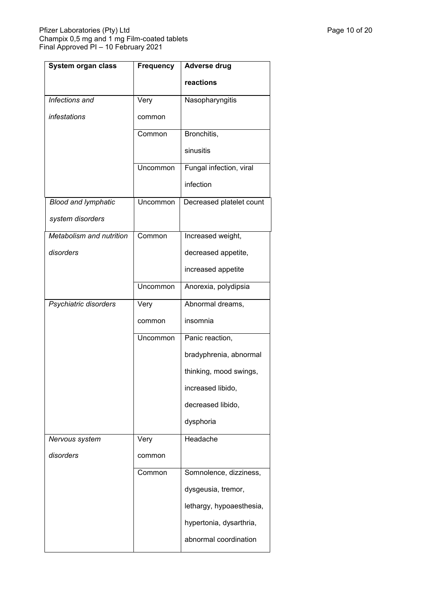| <b>System organ class</b>  | <b>Frequency</b> | <b>Adverse drug</b>      |
|----------------------------|------------------|--------------------------|
|                            |                  | reactions                |
| Infections and             | Very             | Nasopharyngitis          |
| infestations               | common           |                          |
|                            | Common           | Bronchitis,              |
|                            |                  | sinusitis                |
|                            | Uncommon         | Fungal infection, viral  |
|                            |                  | infection                |
| <b>Blood and lymphatic</b> | Uncommon         | Decreased platelet count |
| system disorders           |                  |                          |
| Metabolism and nutrition   | Common           | Increased weight,        |
| disorders                  |                  | decreased appetite,      |
|                            |                  | increased appetite       |
|                            | Uncommon         | Anorexia, polydipsia     |
| Psychiatric disorders      | Very             | Abnormal dreams,         |
|                            | common           | insomnia                 |
|                            | Uncommon         | Panic reaction,          |
|                            |                  | bradyphrenia, abnormal   |
|                            |                  | thinking, mood swings,   |
|                            |                  | increased libido,        |
|                            |                  | decreased libido,        |
|                            |                  | dysphoria                |
| Nervous system             | Very             | Headache                 |
| disorders                  | common           |                          |
|                            | Common           | Somnolence, dizziness,   |
|                            |                  | dysgeusia, tremor,       |
|                            |                  | lethargy, hypoaesthesia, |
|                            |                  | hypertonia, dysarthria,  |
|                            |                  | abnormal coordination    |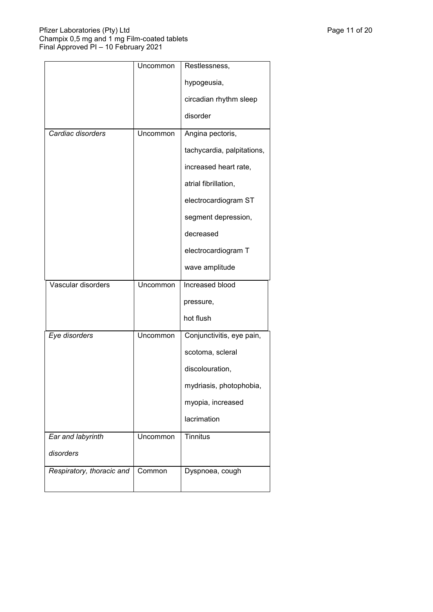|                           | Uncommon | Restlessness,              |
|---------------------------|----------|----------------------------|
|                           |          | hypogeusia,                |
|                           |          | circadian rhythm sleep     |
|                           |          | disorder                   |
| Cardiac disorders         | Uncommon | Angina pectoris,           |
|                           |          | tachycardia, palpitations, |
|                           |          | increased heart rate,      |
|                           |          | atrial fibrillation,       |
|                           |          | electrocardiogram ST       |
|                           |          | segment depression,        |
|                           |          | decreased                  |
|                           |          | electrocardiogram T        |
|                           |          | wave amplitude             |
| Vascular disorders        | Uncommon | Increased blood            |
|                           |          | pressure,                  |
|                           |          | hot flush                  |
| Eye disorders             | Uncommon | Conjunctivitis, eye pain,  |
|                           |          | scotoma, scleral           |
|                           |          | discolouration,            |
|                           |          | mydriasis, photophobia,    |
|                           |          | myopia, increased          |
|                           |          | lacrimation                |
| Ear and labyrinth         | Uncommon | <b>Tinnitus</b>            |
| disorders                 |          |                            |
| Respiratory, thoracic and | Common   | Dyspnoea, cough            |
|                           |          |                            |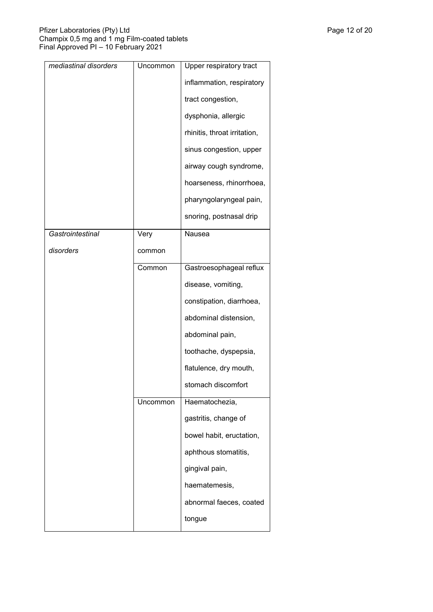| mediastinal disorders | Uncommon | Upper respiratory tract      |
|-----------------------|----------|------------------------------|
|                       |          | inflammation, respiratory    |
|                       |          | tract congestion,            |
|                       |          | dysphonia, allergic          |
|                       |          | rhinitis, throat irritation, |
|                       |          | sinus congestion, upper      |
|                       |          | airway cough syndrome,       |
|                       |          | hoarseness, rhinorrhoea,     |
|                       |          | pharyngolaryngeal pain,      |
|                       |          | snoring, postnasal drip      |
| Gastrointestinal      | Very     | Nausea                       |
| disorders             | common   |                              |
|                       | Common   | Gastroesophageal reflux      |
|                       |          | disease, vomiting,           |
|                       |          | constipation, diarrhoea,     |
|                       |          | abdominal distension,        |
|                       |          | abdominal pain,              |
|                       |          | toothache, dyspepsia,        |
|                       |          | flatulence, dry mouth,       |
|                       |          | stomach discomfort           |
|                       | Uncommon | Haematochezia,               |
|                       |          | gastritis, change of         |
|                       |          | bowel habit, eructation,     |
|                       |          | aphthous stomatitis,         |
|                       |          | gingival pain,               |
|                       |          | haematemesis,                |
|                       |          | abnormal faeces, coated      |
|                       |          | tongue                       |
|                       |          |                              |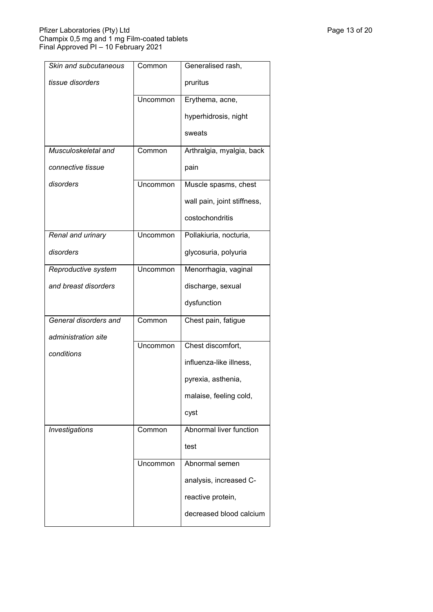| Skin and subcutaneous | Common   | Generalised rash,           |
|-----------------------|----------|-----------------------------|
| tissue disorders      |          | pruritus                    |
|                       | Uncommon | Erythema, acne,             |
|                       |          | hyperhidrosis, night        |
|                       |          | sweats                      |
| Musculoskeletal and   | Common   | Arthralgia, myalgia, back   |
| connective tissue     |          | pain                        |
| disorders             | Uncommon | Muscle spasms, chest        |
|                       |          | wall pain, joint stiffness, |
|                       |          | costochondritis             |
| Renal and urinary     | Uncommon | Pollakiuria, nocturia,      |
| disorders             |          | glycosuria, polyuria        |
| Reproductive system   | Uncommon | Menorrhagia, vaginal        |
| and breast disorders  |          | discharge, sexual           |
|                       |          | dysfunction                 |
| General disorders and | Common   | Chest pain, fatigue         |
| administration site   | Uncommon | Chest discomfort,           |
| conditions            |          |                             |
|                       |          | influenza-like illness,     |
|                       |          | pyrexia, asthenia,          |
|                       |          | malaise, feeling cold,      |
|                       |          | cyst                        |
| Investigations        | Common   | Abnormal liver function     |
|                       |          | test                        |
|                       | Uncommon | Abnormal semen              |
|                       |          | analysis, increased C-      |
|                       |          | reactive protein,           |
|                       |          | decreased blood calcium     |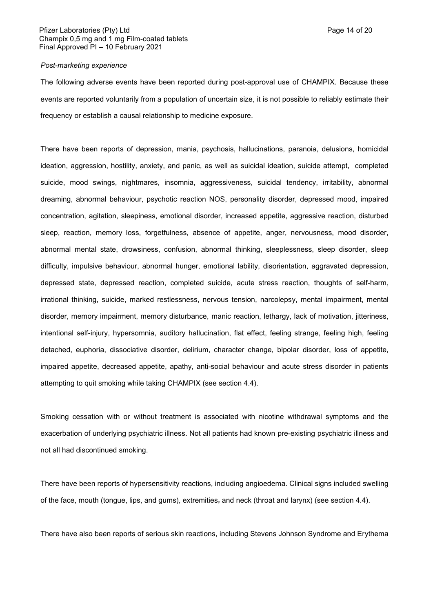### Pfizer Laboratories (Pty) Ltd **Page 14 of 20** Page 14 of 20 Champix 0,5 mg and 1 mg Film-coated tablets Final Approved PI – 10 February 2021

#### *Post-marketing experience*

The following adverse events have been reported during post-approval use of CHAMPIX. Because these events are reported voluntarily from a population of uncertain size, it is not possible to reliably estimate their frequency or establish a causal relationship to medicine exposure.

There have been reports of depression, mania, psychosis, hallucinations, paranoia, delusions, homicidal ideation, aggression, hostility, anxiety, and panic, as well as suicidal ideation, suicide attempt, completed suicide, mood swings, nightmares, insomnia, aggressiveness, suicidal tendency, irritability, abnormal dreaming, abnormal behaviour, psychotic reaction NOS, personality disorder, depressed mood, impaired concentration, agitation, sleepiness, emotional disorder, increased appetite, aggressive reaction, disturbed sleep, reaction, memory loss, forgetfulness, absence of appetite, anger, nervousness, mood disorder, abnormal mental state, drowsiness, confusion, abnormal thinking, sleeplessness, sleep disorder, sleep difficulty, impulsive behaviour, abnormal hunger, emotional lability, disorientation, aggravated depression, depressed state, depressed reaction, completed suicide, acute stress reaction, thoughts of self-harm, irrational thinking, suicide, marked restlessness, nervous tension, narcolepsy, mental impairment, mental disorder, memory impairment, memory disturbance, manic reaction, lethargy, lack of motivation, jitteriness, intentional self-injury, hypersomnia, auditory hallucination, flat effect, feeling strange, feeling high, feeling detached, euphoria, dissociative disorder, delirium, character change, bipolar disorder, loss of appetite, impaired appetite, decreased appetite, apathy, anti-social behaviour and acute stress disorder in patients attempting to quit smoking while taking CHAMPIX (see section 4.4).

Smoking cessation with or without treatment is associated with nicotine withdrawal symptoms and the exacerbation of underlying psychiatric illness. Not all patients had known pre-existing psychiatric illness and not all had discontinued smoking.

There have been reports of hypersensitivity reactions, including angioedema. Clinical signs included swelling of the face, mouth (tongue, lips, and gums), extremities<sub>7</sub> and neck (throat and larynx) (see section 4.4).

There have also been reports of serious skin reactions, including Stevens Johnson Syndrome and Erythema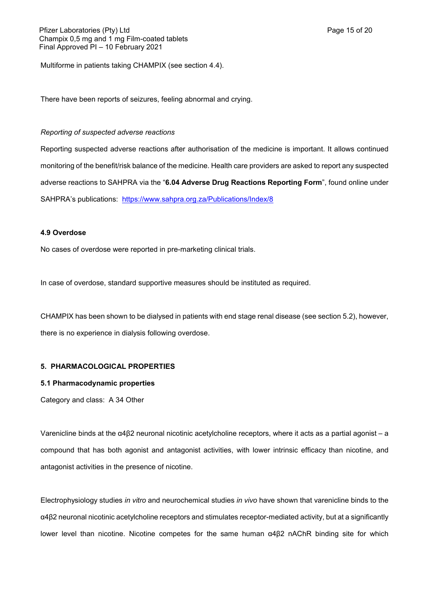Multiforme in patients taking CHAMPIX (see section 4.4).

There have been reports of seizures, feeling abnormal and crying.

## *Reporting of suspected adverse reactions*

Reporting suspected adverse reactions after authorisation of the medicine is important. It allows continued monitoring of the benefit/risk balance of the medicine. Health care providers are asked to report any suspected adverse reactions to SAHPRA via the "**6.04 Adverse Drug Reactions Reporting Form**", found online under SAHPRA's publications: <https://www.sahpra.org.za/Publications/Index/8>

## **4.9 Overdose**

No cases of overdose were reported in pre-marketing clinical trials.

In case of overdose, standard supportive measures should be instituted as required.

CHAMPIX has been shown to be dialysed in patients with end stage renal disease (see section 5.2), however, there is no experience in dialysis following overdose.

# **5. PHARMACOLOGICAL PROPERTIES**

## **5.1 Pharmacodynamic properties**

Category and class: A 34 Other

Varenicline binds at the α4β2 neuronal nicotinic acetylcholine receptors, where it acts as a partial agonist – a compound that has both agonist and antagonist activities, with lower intrinsic efficacy than nicotine, and antagonist activities in the presence of nicotine.

Electrophysiology studies *in vitro* and neurochemical studies *in vivo* have shown that varenicline binds to the α4β2 neuronal nicotinic acetylcholine receptors and stimulates receptor-mediated activity, but at a significantly lower level than nicotine. Nicotine competes for the same human α4β2 nAChR binding site for which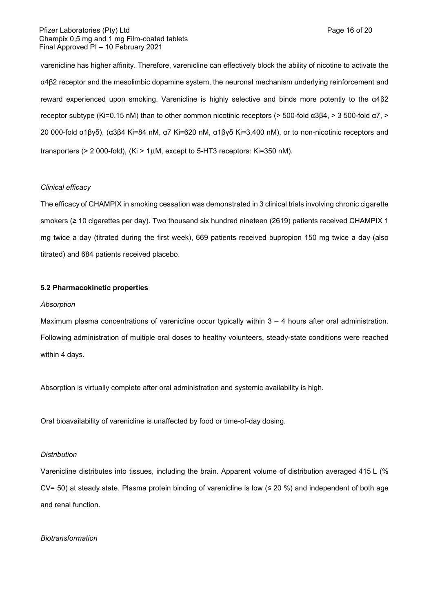### Pfizer Laboratories (Pty) Ltd **Page 16 of 20** Page 16 of 20 Champix 0,5 mg and 1 mg Film-coated tablets Final Approved PI – 10 February 2021

varenicline has higher affinity. Therefore, varenicline can effectively block the ability of nicotine to activate the α4β2 receptor and the mesolimbic dopamine system, the neuronal mechanism underlying reinforcement and reward experienced upon smoking. Varenicline is highly selective and binds more potently to the α4β2 receptor subtype (Ki=0.15 nM) than to other common nicotinic receptors (> 500-fold α3β4, > 3 500-fold α7, > 20 000-fold α1βγδ), (α3β4 Ki=84 nM, α7 Ki=620 nM, α1βγδ Ki=3,400 nM), or to non-nicotinic receptors and transporters ( $> 2000$ -fold), (Ki $> 1 \mu$ M, except to 5-HT3 receptors: Ki=350 nM).

## *Clinical efficacy*

The efficacy of CHAMPIX in smoking cessation was demonstrated in 3 clinical trials involving chronic cigarette smokers (≥ 10 cigarettes per day). Two thousand six hundred nineteen (2619) patients received CHAMPIX 1 mg twice a day (titrated during the first week), 669 patients received bupropion 150 mg twice a day (also titrated) and 684 patients received placebo.

#### **5.2 Pharmacokinetic properties**

#### *Absorption*

Maximum plasma concentrations of varenicline occur typically within  $3 - 4$  hours after oral administration. Following administration of multiple oral doses to healthy volunteers, steady-state conditions were reached within 4 days.

Absorption is virtually complete after oral administration and systemic availability is high.

Oral bioavailability of varenicline is unaffected by food or time-of-day dosing.

#### *Distribution*

Varenicline distributes into tissues, including the brain. Apparent volume of distribution averaged 415 L (% CV= 50) at steady state. Plasma protein binding of varenicline is low ( $\leq$  20 %) and independent of both age and renal function.

#### *Biotransformation*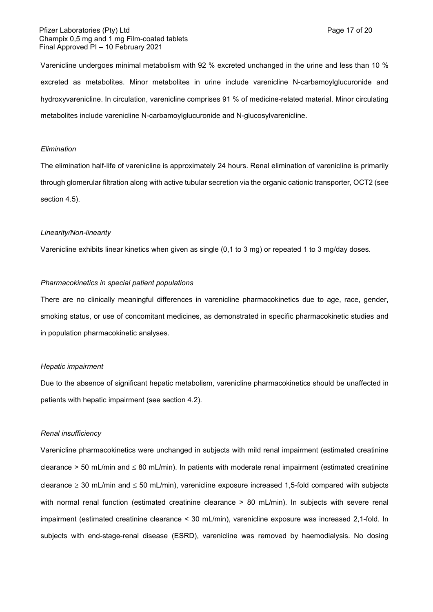### Pfizer Laboratories (Pty) Ltd **Page 17 of 20** Page 17 of 20 Champix 0,5 mg and 1 mg Film-coated tablets Final Approved PI – 10 February 2021

Varenicline undergoes minimal metabolism with 92 % excreted unchanged in the urine and less than 10 % excreted as metabolites. Minor metabolites in urine include varenicline N-carbamoylglucuronide and hydroxyvarenicline. In circulation, varenicline comprises 91 % of medicine-related material. Minor circulating metabolites include varenicline N-carbamoylglucuronide and N-glucosylvarenicline.

#### *Elimination*

The elimination half-life of varenicline is approximately 24 hours. Renal elimination of varenicline is primarily through glomerular filtration along with active tubular secretion via the organic cationic transporter, OCT2 (see section 4.5).

#### *Linearity/Non-linearity*

Varenicline exhibits linear kinetics when given as single (0,1 to 3 mg) or repeated 1 to 3 mg/day doses.

#### *Pharmacokinetics in special patient populations*

There are no clinically meaningful differences in varenicline pharmacokinetics due to age, race, gender, smoking status, or use of concomitant medicines, as demonstrated in specific pharmacokinetic studies and in population pharmacokinetic analyses.

#### *Hepatic impairment*

Due to the absence of significant hepatic metabolism, varenicline pharmacokinetics should be unaffected in patients with hepatic impairment (see section 4.2).

#### *Renal insufficiency*

Varenicline pharmacokinetics were unchanged in subjects with mild renal impairment (estimated creatinine clearance  $>$  50 mL/min and  $\leq$  80 mL/min). In patients with moderate renal impairment (estimated creatinine clearance  $\geq 30$  mL/min and  $\leq 50$  mL/min), varenicline exposure increased 1,5-fold compared with subjects with normal renal function (estimated creatinine clearance > 80 mL/min). In subjects with severe renal impairment (estimated creatinine clearance < 30 mL/min), varenicline exposure was increased 2,1-fold. In subjects with end-stage-renal disease (ESRD), varenicline was removed by haemodialysis. No dosing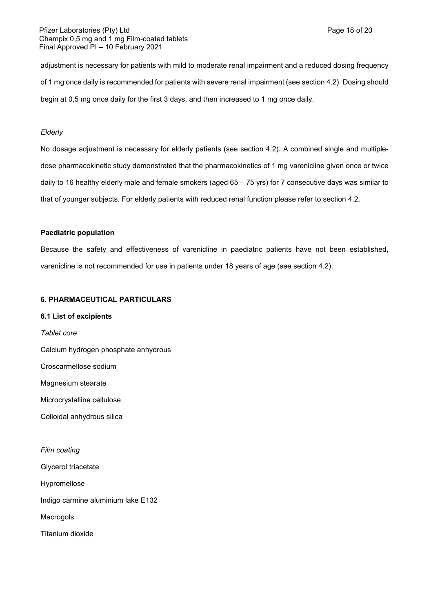adjustment is necessary for patients with mild to moderate renal impairment and a reduced dosing frequency of 1 mg once daily is recommended for patients with severe renal impairment (see section 4.2). Dosing should begin at 0,5 mg once daily for the first 3 days, and then increased to 1 mg once daily.

## *Elderly*

No dosage adjustment is necessary for elderly patients (see section 4.2). A combined single and multipledose pharmacokinetic study demonstrated that the pharmacokinetics of 1 mg varenicline given once or twice daily to 16 healthy elderly male and female smokers (aged 65 – 75 yrs) for 7 consecutive days was similar to that of younger subjects. For elderly patients with reduced renal function please refer to section 4.2.

## **Paediatric population**

Because the safety and effectiveness of varenicline in paediatric patients have not been established, varenicline is not recommended for use in patients under 18 years of age (see section 4.2).

## **6. PHARMACEUTICAL PARTICULARS**

## **6.1 List of excipients**

*Tablet core* Calcium hydrogen phosphate anhydrous Croscarmellose sodium Magnesium stearate Microcrystalline cellulose Colloidal anhydrous silica *Film coating* Glycerol triacetate

Hypromellose

Indigo carmine aluminium lake E132

Macrogols

Titanium dioxide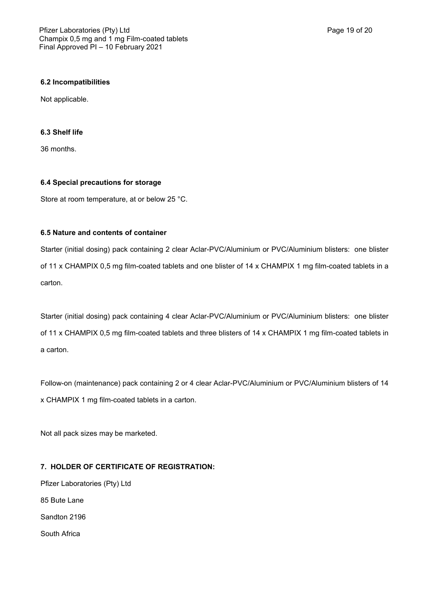### **6.2 Incompatibilities**

Not applicable.

## **6.3 Shelf life**

36 months.

#### **6.4 Special precautions for storage**

Store at room temperature, at or below 25 °C.

### **6.5 Nature and contents of container**

Starter (initial dosing) pack containing 2 clear Aclar-PVC/Aluminium or PVC/Aluminium blisters: one blister of 11 x CHAMPIX 0,5 mg film-coated tablets and one blister of 14 x CHAMPIX 1 mg film-coated tablets in a carton.

Starter (initial dosing) pack containing 4 clear Aclar-PVC/Aluminium or PVC/Aluminium blisters: one blister of 11 x CHAMPIX 0,5 mg film-coated tablets and three blisters of 14 x CHAMPIX 1 mg film-coated tablets in a carton.

Follow-on (maintenance) pack containing 2 or 4 clear Aclar-PVC/Aluminium or PVC/Aluminium blisters of 14 x CHAMPIX 1 mg film-coated tablets in a carton.

Not all pack sizes may be marketed.

# **7. HOLDER OF CERTIFICATE OF REGISTRATION:**

Pfizer Laboratories (Pty) Ltd 85 Bute Lane Sandton 2196 South Africa